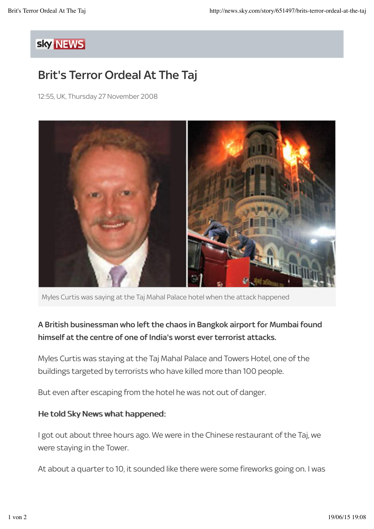## sky NEWS

## Brit's Terror Ordeal At The Taj

12:55, UK, Thursday 27 November 2008



Myles Curtis was saying at the Taj Mahal Palace hotel when the attack happened

## A British businessman who left the chaos in Bangkok airport for Mumbai found himself at the centre of one of India's worst ever terrorist attacks.

Myles Curtis was staying at the Taj Mahal Palace and Towers Hotel, one of the buildings targeted by terrorists who have killed more than 100 people.

But even after escaping from the hotel he was not out of danger.

## He told Sky News what happened:

I got out about three hours ago. We were in the Chinese restaurant of the Taj, we were staying in the Tower.

At about a quarter to 10, it sounded like there were some fireworks going on. I was